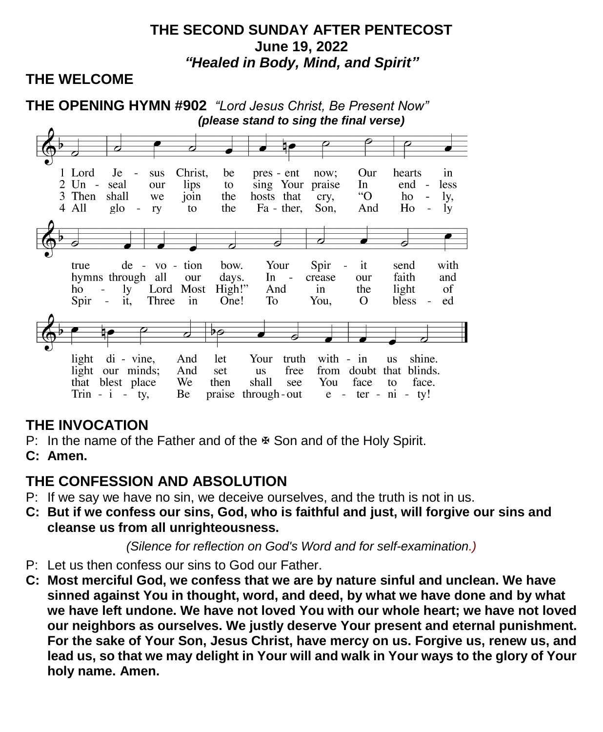### **THE SECOND SUNDAY AFTER PENTECOST June 19, 2022** *"Healed in Body, Mind, and Spirit"*

### **THE WELCOME**

**THE OPENING HYMN #902** *"Lord Jesus Christ, Be Present Now" (please stand to sing the final verse)* 1 Lord **Je** sus Christ. be pres - ent now: Our hearts in  $2$  Un  $$ sing Your praise  $In$ end seal our lips to less 3 Then shall "О we join the hosts that cry, ho  $\overline{\phantom{a}}$ ly, Fa - ther, 4 All  $\mathfrak{g}$ lo ry to the Son, And Ho  $\overline{a}$  $1<sub>V</sub>$  $\overline{\phantom{a}}$  $de - vo - tion$ how. Your Spir send with true  $\sim$   $$ it hymns through all days. In. crease faith and our our High!" light  $\alpha$ f ho  $1<sub>V</sub>$ Lord Most And in the Spir it, Three in One! To You.  $\Omega$ bless ed  $\sim$   $\pm$  $\overline{a}$ light di - vine, And let Your truth with  $-$  in  $_{\rm HS}$ shine. light our minds; And set **11S** free from doubt that blinds. We shall see You face that blest place then to face. Trin -  $i$  - ty, Be praise through-out  $e$  - ter - ni - ty!

## **THE INVOCATION**

- P: In the name of the Father and of the  $\Phi$  Son and of the Holy Spirit.
- **C: Amen.**

## **THE CONFESSION AND ABSOLUTION**

- P: If we say we have no sin, we deceive ourselves, and the truth is not in us.
- **C: But if we confess our sins, God, who is faithful and just, will forgive our sins and cleanse us from all unrighteousness.**

*(Silence for reflection on God's Word and for self-examination.)*

- P: Let us then confess our sins to God our Father.
- **C: Most merciful God, we confess that we are by nature sinful and unclean. We have sinned against You in thought, word, and deed, by what we have done and by what we have left undone. We have not loved You with our whole heart; we have not loved our neighbors as ourselves. We justly deserve Your present and eternal punishment. For the sake of Your Son, Jesus Christ, have mercy on us. Forgive us, renew us, and lead us, so that we may delight in Your will and walk in Your ways to the glory of Your holy name. Amen.**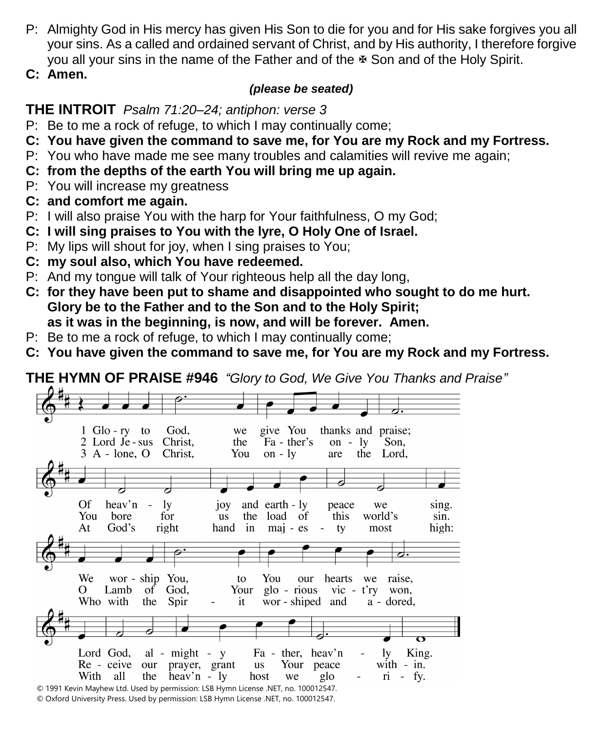- P: Almighty God in His mercy has given His Son to die for you and for His sake forgives you all your sins. As a called and ordained servant of Christ, and by His authority, I therefore forgive you all your sins in the name of the Father and of the  $\overline{x}$  Son and of the Holy Spirit.
- **C: Amen.**

### *(please be seated)*

**THE INTROIT** *Psalm 71:20–24; antiphon: verse 3* 

- P: Be to me a rock of refuge, to which I may continually come;
- **C: You have given the command to save me, for You are my Rock and my Fortress.**
- P: You who have made me see many troubles and calamities will revive me again;
- **C: from the depths of the earth You will bring me up again.**
- P: You will increase my greatness
- **C: and comfort me again.**
- P: I will also praise You with the harp for Your faithfulness, O my God;
- **C: I will sing praises to You with the lyre, O Holy One of Israel.**
- P: My lips will shout for joy, when I sing praises to You;
- **C: my soul also, which You have redeemed.**
- P: And my tongue will talk of Your righteous help all the day long,
- **C: for they have been put to shame and disappointed who sought to do me hurt. Glory be to the Father and to the Son and to the Holy Spirit; as it was in the beginning, is now, and will be forever. Amen.**
- P: Be to me a rock of refuge, to which I may continually come;
- **C: You have given the command to save me, for You are my Rock and my Fortress.**

**THE HYMN OF PRAISE #946** *"Glory to God, We Give You Thanks and Praise"*



© Oxford University Press. Used by permission: LSB Hymn License .NET, no. 100012547.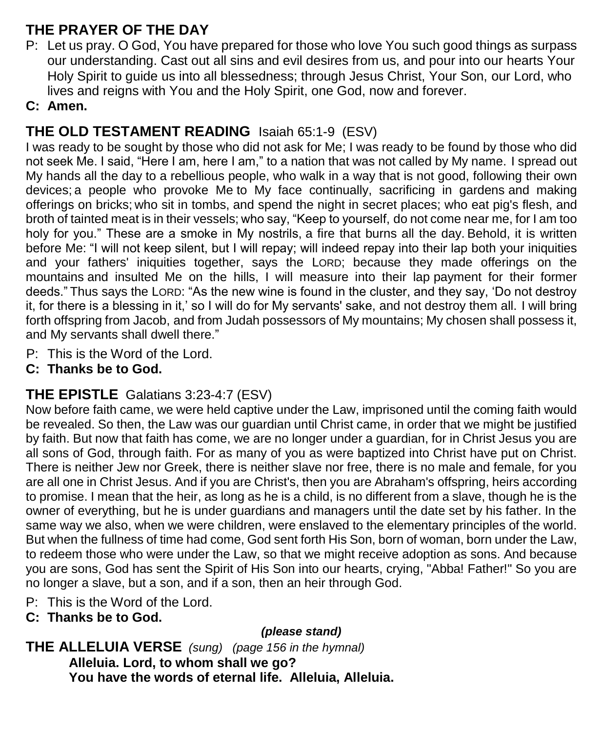# **THE PRAYER OF THE DAY**

P: Let us pray. O God, You have prepared for those who love You such good things as surpass our understanding. Cast out all sins and evil desires from us, and pour into our hearts Your Holy Spirit to guide us into all blessedness; through Jesus Christ, Your Son, our Lord, who lives and reigns with You and the Holy Spirit, one God, now and forever.

### **C: Amen.**

# **THE OLD TESTAMENT READING** Isaiah 65:1-9 (ESV)

I was ready to be sought by those who did not ask for Me; I was ready to be found by those who did not seek Me. I said, "Here I am, here I am," to a nation that was not called by My name. I spread out My hands all the day to a rebellious people, who walk in a way that is not good, following their own devices; a people who provoke Me to My face continually, sacrificing in gardens and making offerings on bricks; who sit in tombs, and spend the night in secret places; who eat pig's flesh, and broth of tainted meat is in their vessels; who say, "Keep to yourself, do not come near me, for I am too holy for you." These are a smoke in My nostrils, a fire that burns all the day. Behold, it is written before Me: "I will not keep silent, but I will repay; will indeed repay into their lap both your iniquities and your fathers' iniquities together, says the LORD; because they made offerings on the mountains and insulted Me on the hills, I will measure into their lap payment for their former deeds." Thus says the LORD: "As the new wine is found in the cluster, and they say, 'Do not destroy it, for there is a blessing in it,' so I will do for My servants' sake, and not destroy them all. I will bring forth offspring from Jacob, and from Judah possessors of My mountains; My chosen shall possess it, and My servants shall dwell there."

- P: This is the Word of the Lord.
- **C: Thanks be to God.**

## **THE EPISTLE** Galatians 3:23-4:7 (ESV)

Now before faith came, we were held captive under the Law, imprisoned until the coming faith would be revealed. So then, the Law was our guardian until Christ came, in order that we might be justified by faith. But now that faith has come, we are no longer under a guardian, for in Christ Jesus you are all sons of God, through faith. For as many of you as were baptized into Christ have put on Christ. There is neither Jew nor Greek, there is neither slave nor free, there is no male and female, for you are all one in Christ Jesus. And if you are Christ's, then you are Abraham's offspring, heirs according to promise. I mean that the heir, as long as he is a child, is no different from a slave, though he is the owner of everything, but he is under guardians and managers until the date set by his father. In the same way we also, when we were children, were enslaved to the elementary principles of the world. But when the fullness of time had come, God sent forth His Son, born of woman, born under the Law, to redeem those who were under the Law, so that we might receive adoption as sons. And because you are sons, God has sent the Spirit of His Son into our hearts, crying, "Abba! Father!" So you are no longer a slave, but a son, and if a son, then an heir through God.

- P: This is the Word of the Lord.
- **C: Thanks be to God.**

### *(please stand)*

**THE ALLELUIA VERSE** *(sung) (page 156 in the hymnal)* **Alleluia. Lord, to whom shall we go? You have the words of eternal life. Alleluia, Alleluia.**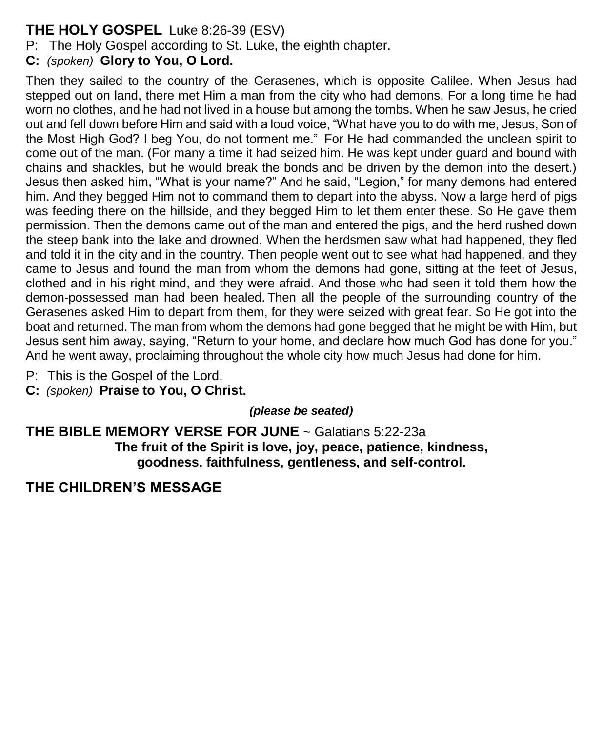### **THE HOLY GOSPEL** Luke 8:26-39 (ESV)

P: The Holy Gospel according to St. Luke, the eighth chapter.

#### **C:** *(spoken)* **Glory to You, O Lord.**

Then they sailed to the country of the Gerasenes, which is opposite Galilee. When Jesus had stepped out on land, there met Him a man from the city who had demons. For a long time he had worn no clothes, and he had not lived in a house but among the tombs. When he saw Jesus, he cried out and fell down before Him and said with a loud voice, "What have you to do with me, Jesus, Son of the Most High God? I beg You, do not torment me." For He had commanded the unclean spirit to come out of the man. (For many a time it had seized him. He was kept under guard and bound with chains and shackles, but he would break the bonds and be driven by the demon into the desert.) Jesus then asked him, "What is your name?" And he said, "Legion," for many demons had entered him. And they begged Him not to command them to depart into the abyss. Now a large herd of pigs was feeding there on the hillside, and they begged Him to let them enter these. So He gave them permission. Then the demons came out of the man and entered the pigs, and the herd rushed down the steep bank into the lake and drowned. When the herdsmen saw what had happened, they fled and told it in the city and in the country. Then people went out to see what had happened, and they came to Jesus and found the man from whom the demons had gone, sitting at the feet of Jesus, clothed and in his right mind, and they were afraid. And those who had seen it told them how the demon-possessed man had been healed. Then all the people of the surrounding country of the Gerasenes asked Him to depart from them, for they were seized with great fear. So He got into the boat and returned. The man from whom the demons had gone begged that he might be with Him, but Jesus sent him away, saying, "Return to your home, and declare how much God has done for you." And he went away, proclaiming throughout the whole city how much Jesus had done for him.

P: This is the Gospel of the Lord.

**C:** *(spoken)* **Praise to You, O Christ.**

#### *(please be seated)*

**THE BIBLE MEMORY VERSE FOR JUNE** ~ Galatians 5:22-23a **The fruit of the Spirit is love, joy, peace, patience, kindness, goodness, faithfulness, gentleness, and self-control.**

**THE CHILDREN'S MESSAGE**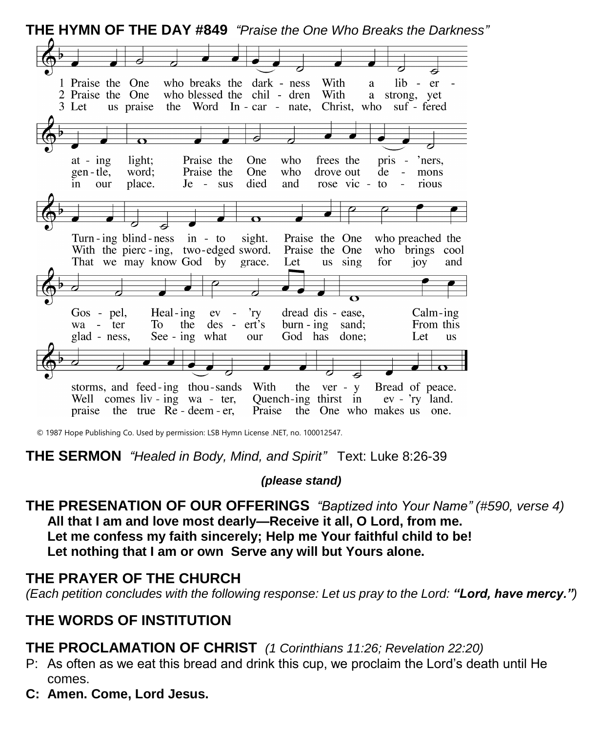

© 1987 Hope Publishing Co. Used by permission: LSB Hymn License .NET, no. 100012547.

**THE SERMON** *"Healed in Body, Mind, and Spirit"* Text: Luke 8:26-39

*(please stand)*

**THE PRESENATION OF OUR OFFERINGS** *"Baptized into Your Name" (#590, verse 4)* **All that I am and love most dearly—Receive it all, O Lord, from me. Let me confess my faith sincerely; Help me Your faithful child to be! Let nothing that I am or own Serve any will but Yours alone.**

### **THE PRAYER OF THE CHURCH**

*(Each petition concludes with the following response: Let us pray to the Lord: "Lord, have mercy.")*

# **THE WORDS OF INSTITUTION**

### **THE PROCLAMATION OF CHRIST** *(1 Corinthians 11:26; Revelation 22:20)*

- P: As often as we eat this bread and drink this cup, we proclaim the Lord's death until He comes.
- **C: Amen. Come, Lord Jesus.**